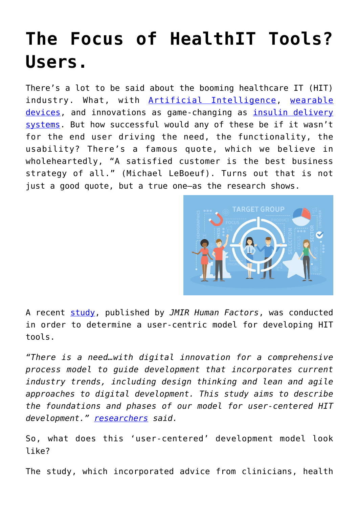## **[The Focus of HealthIT Tools?](https://www.cns-inc.com/insights/thought-leadership/focus_healthit_users/) [Users.](https://www.cns-inc.com/insights/thought-leadership/focus_healthit_users/)**

There's a lot to be said about the booming healthcare IT (HIT) industry. What, with [Artificial Intelligence,](https://healthitanalytics.com/news/artificial-intelligence-big-data-basics-lead-top-10-stories-of-2018) [wearable](https://www.wearable-technologies.com/2018/06/wearable-tech-is-here-to-stay-with-a-robust-presence-in-the-future-healthcare-industry/) [devices,](https://www.wearable-technologies.com/2018/06/wearable-tech-is-here-to-stay-with-a-robust-presence-in-the-future-healthcare-industry/) and innovations as game-changing as [insulin delivery](https://catalyst.nejm.org/patient-innovation-automated-insulin-delivery/) [systems.](https://catalyst.nejm.org/patient-innovation-automated-insulin-delivery/) But how successful would any of these be if it wasn't for the end user driving the need, the functionality, the usability? There's a famous quote, which we believe in wholeheartedly, "A satisfied customer is the best business strategy of all." (Michael LeBoeuf). Turns out that is not just a good quote, but a true one—as the research shows.



A recent [study,](https://humanfactors.jmir.org/2018/4/e11048/) published by *JMIR Human Factors*, was conducted in order to determine a user-centric model for developing HIT tools.

*"There is a need…with digital innovation for a comprehensive process model to guide development that incorporates current industry trends, including design thinking and lean and agile approaches to digital development. This study aims to describe the foundations and phases of our model for user-centered HIT development." [researchers](https://healthitanalytics.com/news/how-to-facilitate-user-centered-design-in-health-it-tools) said.*

So, what does this 'user-centered' development model look like?

The study, which incorporated advice from clinicians, health